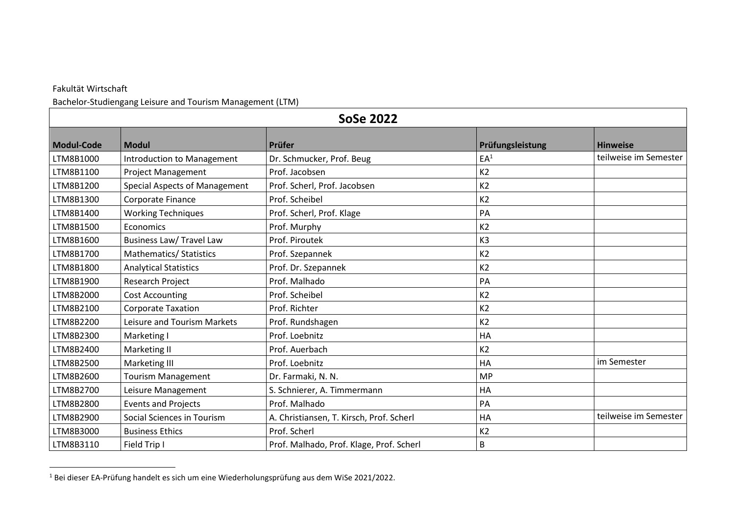## Fakultät Wirtschaft

 $\overline{a}$ 

Bachelor-Studiengang Leisure and Tourism Management (LTM)

| <b>SoSe 2022</b>  |                                      |                                          |                  |                       |  |  |  |
|-------------------|--------------------------------------|------------------------------------------|------------------|-----------------------|--|--|--|
| <b>Modul-Code</b> | <b>Modul</b>                         | Prüfer                                   | Prüfungsleistung | <b>Hinweise</b>       |  |  |  |
| LTM8B1000         | Introduction to Management           | Dr. Schmucker, Prof. Beug                | $EA^1$           | teilweise im Semester |  |  |  |
| LTM8B1100         | <b>Project Management</b>            | Prof. Jacobsen                           | K2               |                       |  |  |  |
| LTM8B1200         | <b>Special Aspects of Management</b> | Prof. Scherl, Prof. Jacobsen             | K <sub>2</sub>   |                       |  |  |  |
| LTM8B1300         | Corporate Finance                    | Prof. Scheibel                           | K <sub>2</sub>   |                       |  |  |  |
| LTM8B1400         | <b>Working Techniques</b>            | Prof. Scherl, Prof. Klage                | PA               |                       |  |  |  |
| LTM8B1500         | Economics                            | Prof. Murphy                             | K <sub>2</sub>   |                       |  |  |  |
| LTM8B1600         | Business Law/ Travel Law             | Prof. Piroutek                           | K <sub>3</sub>   |                       |  |  |  |
| LTM8B1700         | Mathematics/ Statistics              | Prof. Szepannek                          | K2               |                       |  |  |  |
| LTM8B1800         | <b>Analytical Statistics</b>         | Prof. Dr. Szepannek                      | K <sub>2</sub>   |                       |  |  |  |
| LTM8B1900         | Research Project                     | Prof. Malhado                            | PA               |                       |  |  |  |
| LTM8B2000         | <b>Cost Accounting</b>               | Prof. Scheibel                           | K2               |                       |  |  |  |
| LTM8B2100         | <b>Corporate Taxation</b>            | Prof. Richter                            | K2               |                       |  |  |  |
| LTM8B2200         | Leisure and Tourism Markets          | Prof. Rundshagen                         | K <sub>2</sub>   |                       |  |  |  |
| LTM8B2300         | Marketing I                          | Prof. Loebnitz                           | HA               |                       |  |  |  |
| LTM8B2400         | Marketing II                         | Prof. Auerbach                           | K <sub>2</sub>   |                       |  |  |  |
| LTM8B2500         | Marketing III                        | Prof. Loebnitz                           | HA               | im Semester           |  |  |  |
| LTM8B2600         | <b>Tourism Management</b>            | Dr. Farmaki, N. N.                       | <b>MP</b>        |                       |  |  |  |
| LTM8B2700         | Leisure Management                   | S. Schnierer, A. Timmermann              | HA               |                       |  |  |  |
| LTM8B2800         | <b>Events and Projects</b>           | Prof. Malhado                            | PA               |                       |  |  |  |
| LTM8B2900         | Social Sciences in Tourism           | A. Christiansen, T. Kirsch, Prof. Scherl | HA               | teilweise im Semester |  |  |  |
| LTM8B3000         | <b>Business Ethics</b>               | Prof. Scherl                             | K <sub>2</sub>   |                       |  |  |  |
| LTM8B3110         | Field Trip I                         | Prof. Malhado, Prof. Klage, Prof. Scherl | B                |                       |  |  |  |

 $^1$  Bei dieser EA-Prüfung handelt es sich um eine Wiederholungsprüfung aus dem WiSe 2021/2022.